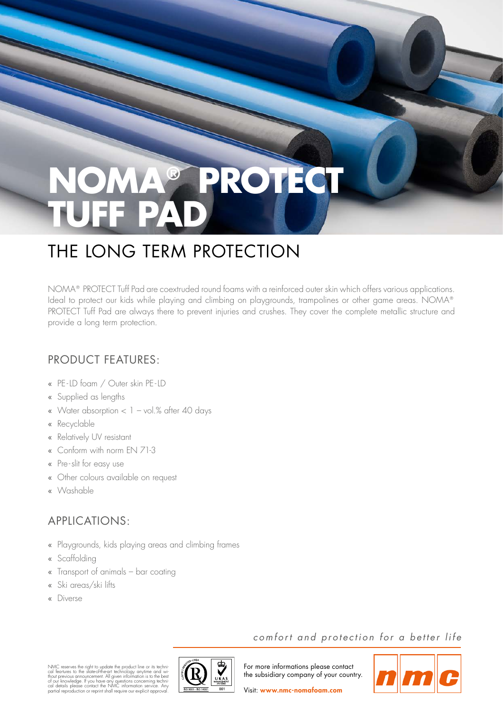# **NOMA® PROTECT TUFF PAD**

## THE LONG TERM PROTECTION

NOMA® PROTECT Tuff Pad are coextruded round foams with a reinforced outer skin which offers various applications. Ideal to protect our kids while playing and climbing on playgrounds, trampolines or other game areas. NOMA® PROTECT Tuff Pad are always there to prevent injuries and crushes. They cover the complete metallic structure and provide a long term protection.

### PRODUCT FEATURES:

- PE-LD foam / Outer skin PE-LD
- Supplied as lengths
- « Water absorption  $< 1 -$  vol.% after 40 days
- « Recyclable
- « Relatively UV resistant
- Conform with norm EN 71-3
- Pre-slit for easy use
- Other colours available on request
- Washable

#### APPLICATIONS:

- Playgrounds, kids playing areas and climbing frames
- « Scaffolding
- Transport of animals bar coating
- Ski areas/ski lifts
- Diverse



comfort and protection for a better life

For more informations please contact the subsidiary company of your country.